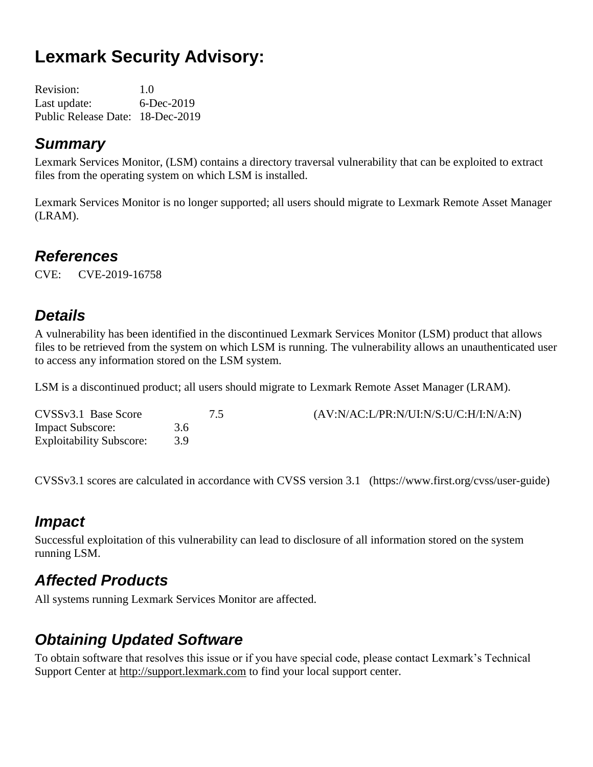# **Lexmark Security Advisory:**

Revision: 1.0 Last update: 6-Dec-2019 Public Release Date: 18-Dec-2019

#### *Summary*

Lexmark Services Monitor, (LSM) contains a directory traversal vulnerability that can be exploited to extract files from the operating system on which LSM is installed.

Lexmark Services Monitor is no longer supported; all users should migrate to Lexmark Remote Asset Manager (LRAM).

#### *References*

CVE: CVE-2019-16758

#### *Details*

A vulnerability has been identified in the discontinued Lexmark Services Monitor (LSM) product that allows files to be retrieved from the system on which LSM is running. The vulnerability allows an unauthenticated user to access any information stored on the LSM system.

LSM is a discontinued product; all users should migrate to Lexmark Remote Asset Manager (LRAM).

| CVSSv3.1 Base Score             |       | $(AV:N/AC: L/PR:N/UI:N/S: U/C:H/I:N/A:N)$ |
|---------------------------------|-------|-------------------------------------------|
| <b>Impact Subscore:</b>         | 3.6   |                                           |
| <b>Exploitability Subscore:</b> | $-39$ |                                           |

CVSSv3.1 scores are calculated in accordance with CVSS version 3.1 (https://www.first.org/cvss/user-guide)

### *Impact*

Successful exploitation of this vulnerability can lead to disclosure of all information stored on the system running LSM.

# *Affected Products*

All systems running Lexmark Services Monitor are affected.

### *Obtaining Updated Software*

To obtain software that resolves this issue or if you have special code, please contact Lexmark's Technical Support Center at [http://support.lexmark.com](http://support.lexmark.com/) to find your local support center.